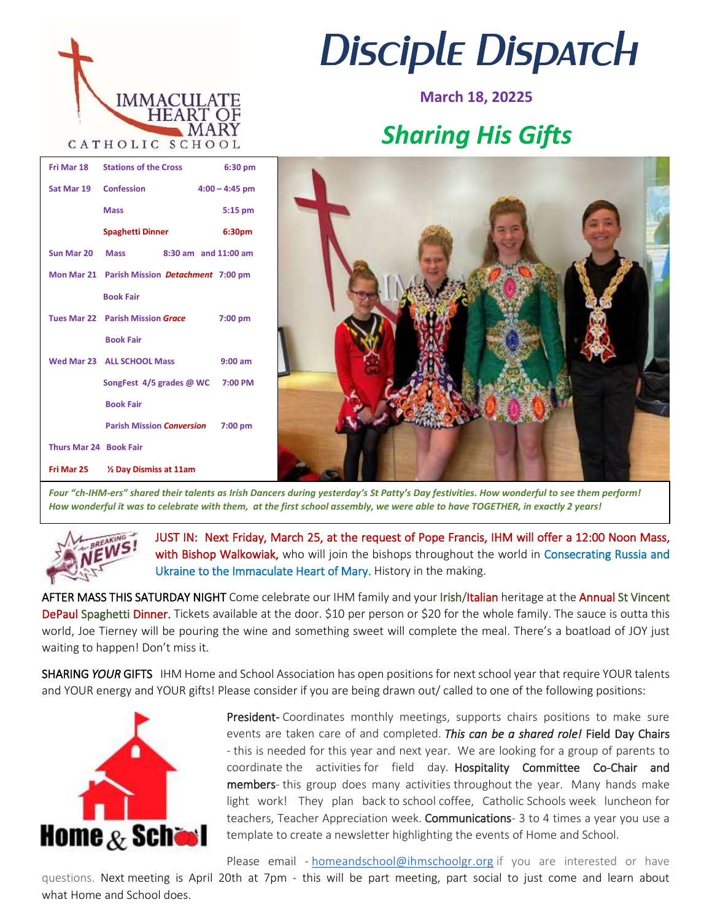

 **Book Fair**

 **Book Fair**

 **Book Fair**

**Fri Mar 25 ½ Day Dismiss at 11am** 

## *Disciple Dispatch*

**March 18, 20225**

## *Sharing His Gifts*



*Four "ch-IHM-ers" shared their talents as Irish Dancers during yesterday's St Patty's Day festivities. How wonderful to see them perform! How wonderful it was to celebrate with them, at the first school assembly, we were able to have TOGETHER, in exactly 2 years!* 



**Thurs Mar 24 Book Fair** 

JUST IN: Next Friday, March 25, at the request of Pope Francis, IHM will offer a 12:00 Noon Mass, with Bishop Walkowiak, who will join the bishops throughout the world in Consecrating Russia and Ukraine to the Immaculate Heart of Mary. History in the making.

AFTER MASS THIS SATURDAY NIGHT Come celebrate our IHM family and your Irish/Italian heritage at the Annual St Vincent DePaul Spaghetti Dinner. Tickets available at the door. \$10 per person or \$20 for the whole family. The sauce is outta this world, Joe Tierney will be pouring the wine and something sweet will complete the meal. There's a boatload of JOY just waiting to happen! Don't miss it.

SHARING *YOUR* GIFTS IHM Home and School Association has open positions for next school year that require YOUR talents and YOUR energy and YOUR gifts! Please consider if you are being drawn out/ called to one of the following positions:



President- Coordinates monthly meetings, supports chairs positions to make sure events are taken care of and completed. *This can be a shared role!* Field Day Chairs - this is needed for this year and next year. We are looking for a group of parents to coordinate the activities for field day. Hospitality Committee Co-Chair and members- this group does many activities throughout the year. Many hands make light work! They plan back to school coffee, Catholic Schools week luncheon for teachers, Teacher Appreciation week. Communications- 3 to 4 times a year you use a template to create a newsletter highlighting the events of Home and School.

Please email - [homeandschool@ihmschoolgr.org](mailto:homeandschool@ihmschoolgr.org) if you are interested or have

questions. Next meeting is April 20th at 7pm - this will be part meeting, part social to just come and learn about what Home and School does.